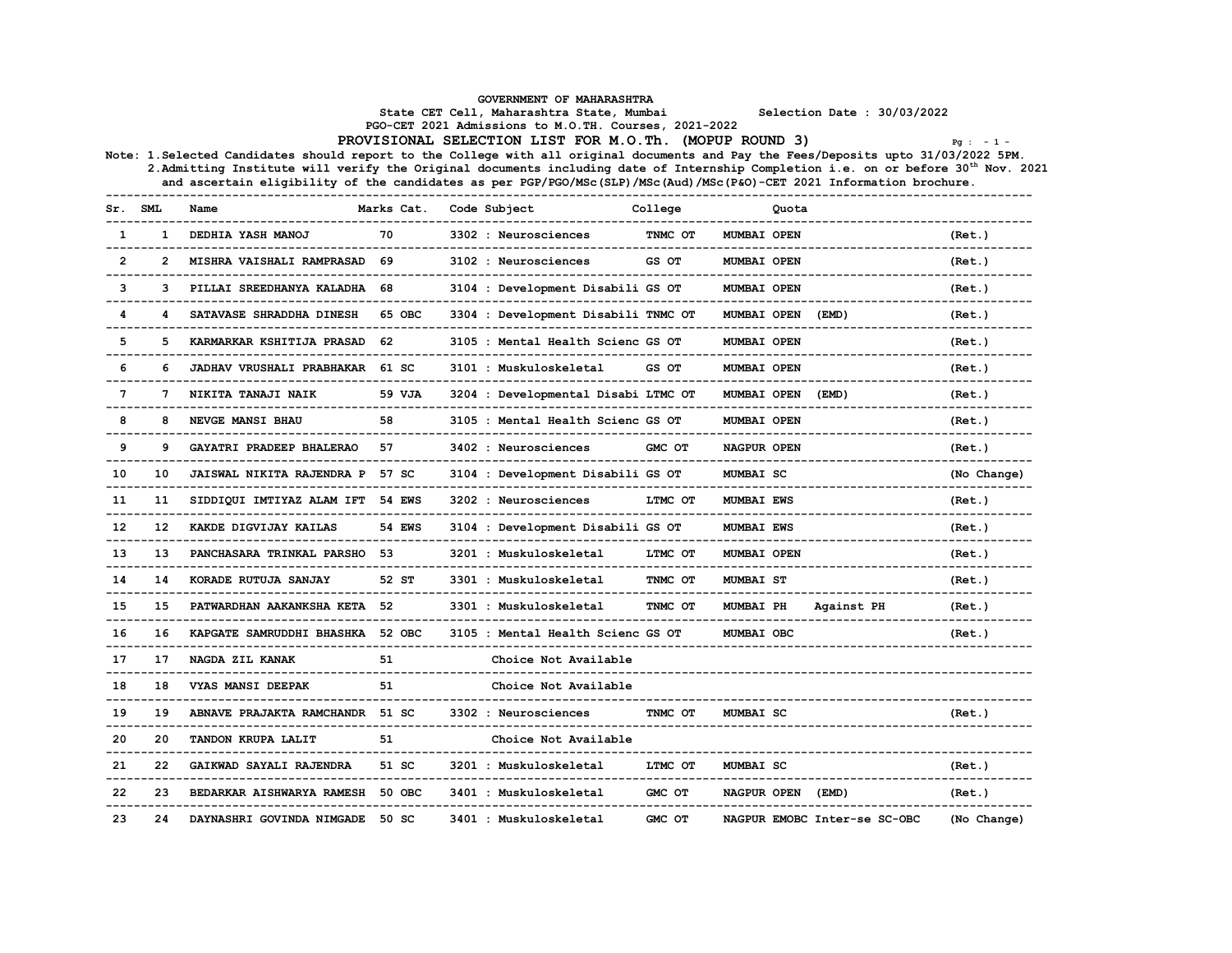| SML<br>Sr. |    | Name                                | Marks Cat. Code Subject |                                     | College |                    | Quota                        |             |  |
|------------|----|-------------------------------------|-------------------------|-------------------------------------|---------|--------------------|------------------------------|-------------|--|
|            |    | 1 DEDHIA YASH MANOJ                 | 70                      | 3302 : Neurosciences                | TNMC OT | <b>MUMBAI OPEN</b> |                              | (Ret.)      |  |
| 2          |    | 2 MISHRA VAISHALI RAMPRASAD 69      |                         | 3102 : Neurosciences                | GS OT   | MUMBAI OPEN        |                              | (Ret.)      |  |
| 3          |    | 3 PILLAI SREEDHANYA KALADHA 68      |                         | 3104 : Development Disabili GS OT   |         | MUMBAI OPEN        |                              | (Ret.)      |  |
|            |    | 4 SATAVASE SHRADDHA DINESH 65 OBC   |                         | 3304 : Development Disabili TNMC OT |         | MUMBAI OPEN (EMD)  |                              | (Ret.)      |  |
| 5          |    | 5 KARMARKAR KSHITIJA PRASAD 62      |                         | 3105 : Mental Health Scienc GS OT   |         | MUMBAI OPEN        |                              | (Ret.)      |  |
|            |    | JADHAV VRUSHALI PRABHAKAR 61 SC     |                         | 3101 : Muskuloskeletal              | GS OT   | MUMBAI OPEN        |                              | (Ret.)      |  |
|            |    | <b>NIKITA TANAJI NAIK</b>           | 59 VJA                  | 3204 : Developmental Disabi LTMC OT |         | MUMBAI OPEN (EMD)  |                              | (Ret.)      |  |
|            |    | <b>NEVGE MANSI BHAU</b>             | 58                      | 3105 : Mental Health Scienc GS OT   |         | MUMBAI OPEN        |                              | (Ret.)      |  |
| - 9        | 9  | GAYATRI PRADEEP BHALERAO 57         |                         | 3402 : Neurosciences                | GMC OT  | NAGPUR OPEN        |                              | (Ret.)      |  |
| 10         |    | 10 JAISWAL NIKITA RAJENDRA P 57 SC  |                         | 3104 : Development Disabili GS OT   |         | <b>MUMBAI SC</b>   |                              | (No Change) |  |
| -11        |    | 11 SIDDIQUI IMTIYAZ ALAM IFT 54 EWS |                         | 3202 : Neurosciences                | LTMC OT | <b>MUMBAI EWS</b>  |                              | (Ret.)      |  |
| 12         |    | 12 KAKDE DIGVIJAY KAILAS            | <b>54 EWS</b>           | 3104 : Development Disabili GS OT   |         | <b>MUMBAI EWS</b>  |                              | (Ret.)      |  |
| 13         | 13 | PANCHASARA TRINKAL PARSHO 53        |                         | 3201 : Muskuloskeletal              | LTMC OT | MUMBAI OPEN        |                              | (Ret.)      |  |
| 14         | 14 | KORADE RUTUJA SANJAY                | 52 ST                   | 3301 : Muskuloskeletal              | TNMC OT | <b>MUMBAI ST</b>   |                              | (Ret.)      |  |
| 15         |    | 15 PATWARDHAN AAKANKSHA KETA 52     |                         | 3301 : Muskuloskeletal              | TNMC OT |                    | MUMBAI PH Against PH         | (Ret.)      |  |
| 16         |    | 16 KAPGATE SAMRUDDHI BHASHKA 52 OBC |                         | 3105 : Mental Health Scienc GS OT   |         | MUMBAI OBC         |                              | (Ret.)      |  |
| 17         |    | 17 NAGDA ZIL KANAK                  | 51                      | Choice Not Available                |         |                    |                              |             |  |
| 18         | 18 | <b>VYAS MANSI DEEPAK</b>            | 51                      | Choice Not Available                |         |                    |                              |             |  |
| 19         | 19 | ABNAVE PRAJAKTA RAMCHANDR 51 SC     |                         | 3302 : Neurosciences                | TNMC OT | <b>MUMBAI SC</b>   |                              | (Ret.)      |  |
| 20         |    | TANDON KRUPA LALIT                  | 51                      | Choice Not Available                |         |                    |                              |             |  |
| 21         | 22 | GAIKWAD SAYALI RAJENDRA 51 SC       |                         | 3201 : Muskuloskeletal              | LTMC OT | <b>MUMBAI SC</b>   |                              | (Ret.)      |  |
| っっ         | 23 | BEDARKAR AISHWARYA RAMESH 50 OBC    |                         | 3401 : Muskuloskeletal              | GMC OT  | NAGPUR OPEN (EMD)  |                              | (Ret.)      |  |
| 23         |    | 24 DAYNASHRI GOVINDA NIMGADE 50 SC  |                         | 3401 : Muskuloskeletal              | GMC OT  |                    | NAGPUR EMOBC Inter-se SC-OBC | (No Change) |  |
|            |    |                                     |                         |                                     |         |                    |                              |             |  |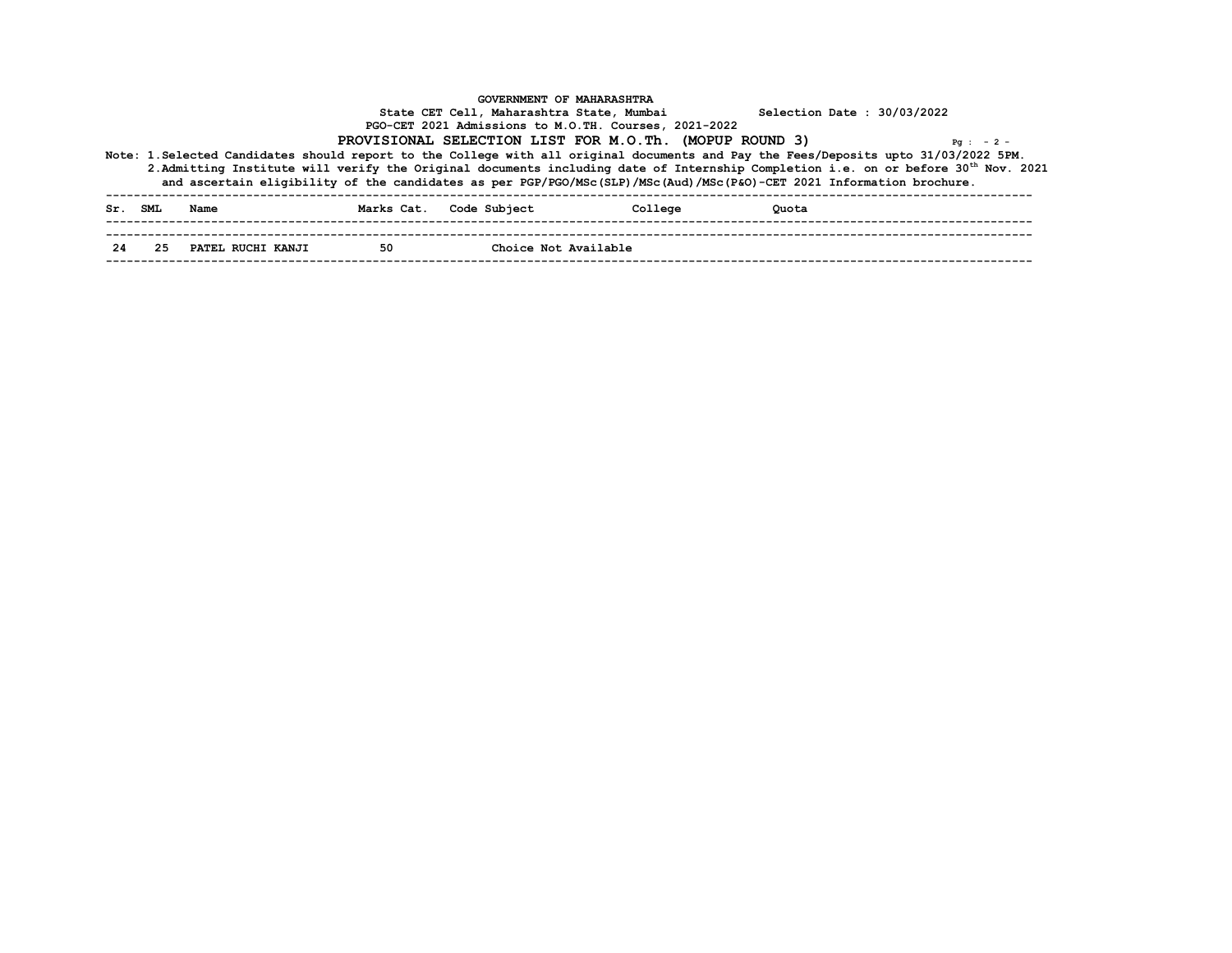|    | Sr. SML Name         |    | Marks Cat. Code Subject | College | Quota |  |
|----|----------------------|----|-------------------------|---------|-------|--|
| 24 | 25 PATEL RUCHI KANJI | 50 | Choice Not Available    |         |       |  |
|    |                      |    |                         |         |       |  |
|    |                      |    |                         |         |       |  |
|    |                      |    |                         |         |       |  |
|    |                      |    |                         |         |       |  |
|    |                      |    |                         |         |       |  |
|    |                      |    |                         |         |       |  |
|    |                      |    |                         |         |       |  |
|    |                      |    |                         |         |       |  |
|    |                      |    |                         |         |       |  |
|    |                      |    |                         |         |       |  |
|    |                      |    |                         |         |       |  |
|    |                      |    |                         |         |       |  |
|    |                      |    |                         |         |       |  |
|    |                      |    |                         |         |       |  |
|    |                      |    |                         |         |       |  |
|    |                      |    |                         |         |       |  |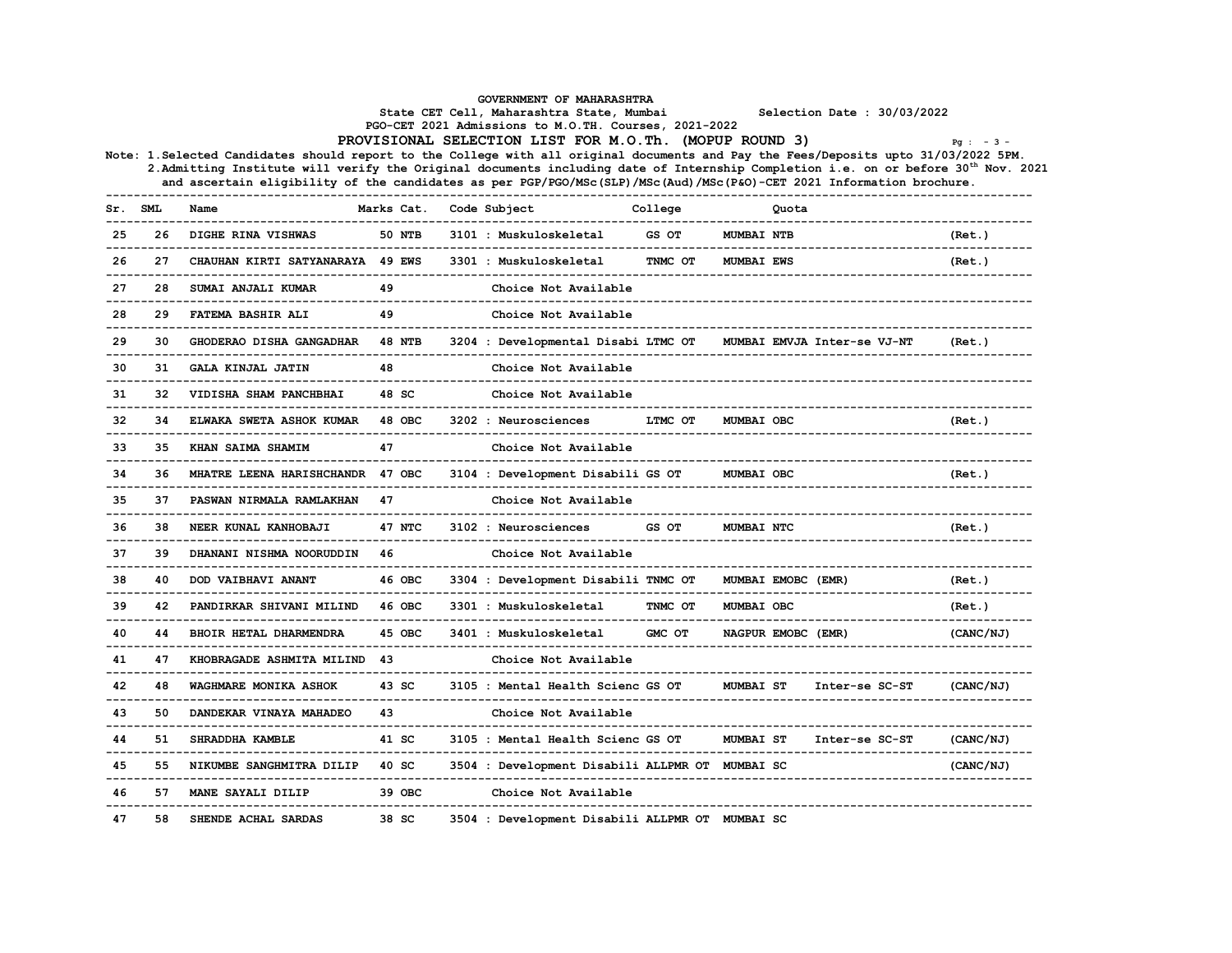## GOVERNMENT OF MAHARASHTRA State CET Cell, Maharashtra State, Mumbai Selection Date : 30/03/2022 PGO-CET <sup>2021</sup> Admissions to M.O.TH. Courses, 2021-2022 PROVISIONAL SELECTION LIST FOR M.O.Th. (MOPUP ROUND 3) Pg : - <sup>3</sup> - Note: 1.Selected Candidates should report to the College with all original documents and Pay the Fees/Deposits upto 31/03/2022 5PM. 2.Admitting Institute will verify the Original documents including date of Internship Completion i.e. on or before <sup>30</sup>th Nov. <sup>2021</sup> and ascertain eligibility of the candidates as per PGP/PGO/MSc(SLP)/MSc(Aud)/MSc(P&O)-CET <sup>2021</sup> Information brochure. ------------------------------------------------------------------------------------------------------------------------------------ Sr. SML Name Marks Cat. Code Subject College Quota ------------------------------------------------------------------------------------------------------------------------------------ <sup>25</sup> <sup>26</sup> DIGHE RINA VISHWAS <sup>50</sup> NTB <sup>3101</sup> : Muskuloskeletal GS OT MUMBAI NTB (Ret.) ------------------------------------------------------------------------------------------------------------------------------------ <sup>26</sup> <sup>27</sup> CHAUHAN KIRTI SATYANARAYA <sup>49</sup> EWS <sup>3301</sup> : Muskuloskeletal TNMC OT MUMBAI EWS (Ret.) ------------------------------------------------------------------------------------------------------------------------------------ <sup>27</sup> <sup>28</sup> SUMAI ANJALI KUMAR <sup>49</sup> Choice Not Available ------------------------------------------------------------------------------------------------------------------------------------ <sup>28</sup> <sup>29</sup> FATEMA BASHIR ALI <sup>49</sup> Choice Not Available ------------------------------------------------------------------------------------------------------------------------------------ <sup>29</sup> <sup>30</sup> GHODERAO DISHA GANGADHAR <sup>48</sup> NTB <sup>3204</sup> : Developmental Disabi LTMC OT MUMBAI EMVJA Inter-se VJ-NT (Ret.) ------------------------------------------------------------------------------------------------------------------------------------ <sup>30</sup> <sup>31</sup> GALA KINJAL JATIN <sup>48</sup> Choice Not Available ------------------------------------------------------------------------------------------------------------------------------------ <sup>31</sup> <sup>32</sup> VIDISHA SHAM PANCHBHAI <sup>48</sup> SC Choice Not Available ------------------------------------------------------------------------------------------------------------------------------------ <sup>32</sup> <sup>34</sup> ELWAKA SWETA ASHOK KUMAR <sup>48</sup> OBC <sup>3202</sup> : Neurosciences LTMC OT MUMBAI OBC (Ret.) ------------------------------------------------------------------------------------------------------------------------------------ <sup>33</sup> <sup>35</sup> KHAN SAIMA SHAMIM <sup>47</sup> Choice Not Available ------------------------------------------------------------------------------------------------------------------------------------ <sup>34</sup> <sup>36</sup> MHATRE LEENA HARISHCHANDR <sup>47</sup> OBC <sup>3104</sup> : Development Disabili GS OT MUMBAI OBC (Ret.) ------------------------------------------------------------------------------------------------------------------------------------ <sup>35</sup> <sup>37</sup> PASWAN NIRMALA RAMLAKHAN <sup>47</sup> Choice Not Available ------------------------------------------------------------------------------------------------------------------------------------ <sup>36</sup> <sup>38</sup> NEER KUNAL KANHOBAJI <sup>47</sup> NTC <sup>3102</sup> : Neurosciences GS OT MUMBAI NTC (Ret.) ------------------------------------------------------------------------------------------------------------------------------------ <sup>37</sup> <sup>39</sup> DHANANI NISHMA NOORUDDIN <sup>46</sup> Choice Not Available ------------------------------------------------------------------------------------------------------------------------------------ <sup>38</sup> <sup>40</sup> DOD VAIBHAVI ANANT <sup>46</sup> OBC <sup>3304</sup> : Development Disabili TNMC OT MUMBAI EMOBC (EMR) (Ret.) ------------------------------------------------------------------------------------------------------------------------------------ <sup>39</sup> <sup>42</sup> PANDIRKAR SHIVANI MILIND <sup>46</sup> OBC <sup>3301</sup> : Muskuloskeletal TNMC OT MUMBAI OBC (Ret.) ------------------------------------------------------------------------------------------------------------------------------------ <sup>40</sup> <sup>44</sup> BHOIR HETAL DHARMENDRA <sup>45</sup> OBC <sup>3401</sup> : Muskuloskeletal GMC OT NAGPUR EMOBC (EMR) (CANC/NJ) ------------------------------------------------------------------------------------------------------------------------------------ <sup>41</sup> <sup>47</sup> KHOBRAGADE ASHMITA MILIND <sup>43</sup> Choice Not Available ------------------------------------------------------------------------------------------------------------------------------------ <sup>42</sup> <sup>48</sup> WAGHMARE MONIKA ASHOK <sup>43</sup> SC <sup>3105</sup> : Mental Health Scienc GS OT MUMBAI ST Inter-se SC-ST (CANC/NJ) ------------------------------------------------------------------------------------------------------------------------------------ <sup>43</sup> <sup>50</sup> DANDEKAR VINAYA MAHADEO <sup>43</sup> Choice Not Available ------------------------------------------------------------------------------------------------------------------------------------ <sup>44</sup> <sup>51</sup> SHRADDHA KAMBLE <sup>41</sup> SC <sup>3105</sup> : Mental Health Scienc GS OT MUMBAI ST Inter-se SC-ST (CANC/NJ) ------------------------------------------------------------------------------------------------------------------------------------ <sup>45</sup> <sup>55</sup> NIKUMBE SANGHMITRA DILIP <sup>40</sup> SC <sup>3504</sup> : Development Disabili ALLPMR OT MUMBAI SC (CANC/NJ) ------------------------------------------------------------------------------------------------------------------------------------ <sup>46</sup> <sup>57</sup> MANE SAYALI DILIP <sup>39</sup> OBC Choice Not Available ------------------------------------------------------------------------------------------------------------------------------------ <sup>47</sup> <sup>58</sup> SHENDE ACHAL SARDAS <sup>38</sup> SC <sup>3504</sup> : Development Disabili ALLPMR OT MUMBAI SC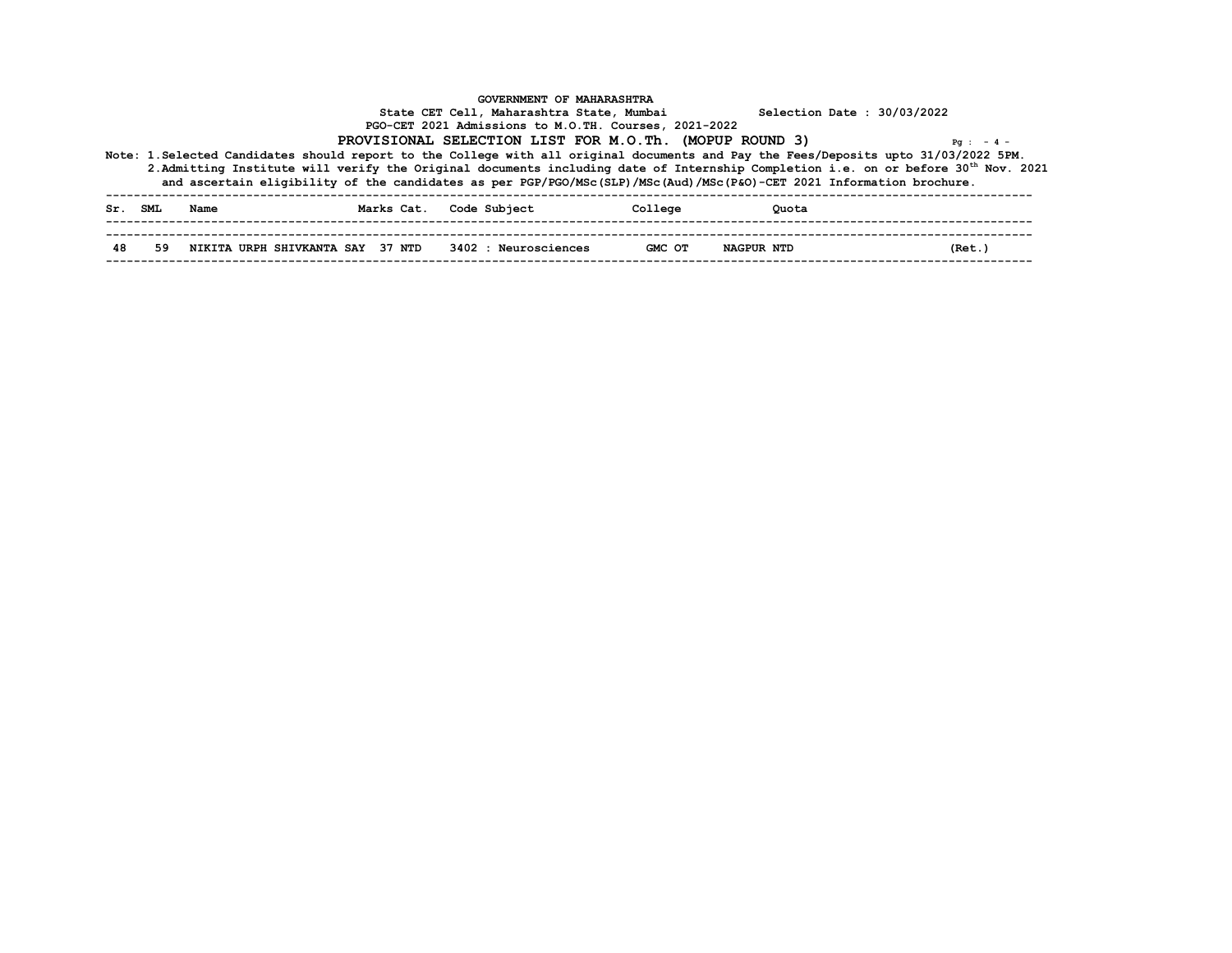|    | Sr. SML Name | Marks Cat. Code Subject                                  | College | Quota             |        |
|----|--------------|----------------------------------------------------------|---------|-------------------|--------|
| 48 |              | 59 NIKITA URPH SHIVKANTA SAY 37 NTD 3402 : Neurosciences | GMC OT  | <b>NAGPUR NTD</b> | (Ret.) |
|    |              |                                                          |         |                   |        |
|    |              |                                                          |         |                   |        |
|    |              |                                                          |         |                   |        |
|    |              |                                                          |         |                   |        |
|    |              |                                                          |         |                   |        |
|    |              |                                                          |         |                   |        |
|    |              |                                                          |         |                   |        |
|    |              |                                                          |         |                   |        |
|    |              |                                                          |         |                   |        |
|    |              |                                                          |         |                   |        |
|    |              |                                                          |         |                   |        |
|    |              |                                                          |         |                   |        |
|    |              |                                                          |         |                   |        |
|    |              |                                                          |         |                   |        |
|    |              |                                                          |         |                   |        |